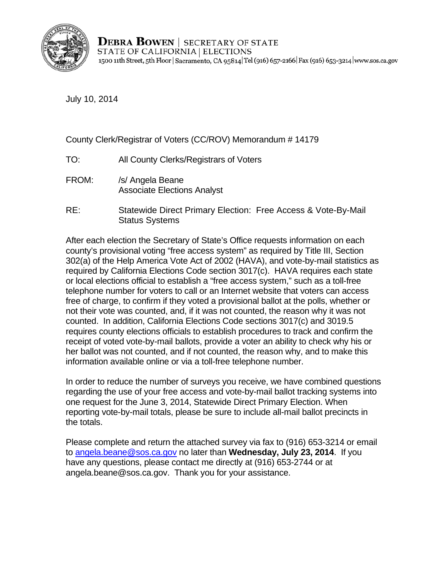

**DEBRA BOWEN** SECRETARY OF STATE STATE OF CALIFORNIA | ELECTIONS 1500 11th Street, 5th Floor | Sacramento, CA 95814 Tel (916) 657-2166 | Fax (916) 653-3214 | www.sos.ca.gov

July 10, 2014

County Clerk/Registrar of Voters (CC/ROV) Memorandum # 14179

- TO: All County Clerks/Registrars of Voters
- FROM: /s/ Angela Beane Associate Elections Analyst
- RE: Statewide Direct Primary Election: Free Access & Vote-By-Mail Status Systems

After each election the Secretary of State's Office requests information on each county's provisional voting "free access system" as required by Title III, Section 302(a) of the Help America Vote Act of 2002 (HAVA), and vote-by-mail statistics as required by California Elections Code section 3017(c). HAVA requires each state or local elections official to establish a "free access system," such as a toll-free telephone number for voters to call or an Internet website that voters can access free of charge, to confirm if they voted a provisional ballot at the polls, whether or not their vote was counted, and, if it was not counted, the reason why it was not counted. In addition, California Elections Code sections 3017(c) and 3019.5 requires county elections officials to establish procedures to track and confirm the receipt of voted vote-by-mail ballots, provide a voter an ability to check why his or her ballot was not counted, and if not counted, the reason why, and to make this information available online or via a toll-free telephone number.

In order to reduce the number of surveys you receive, we have combined questions regarding the use of your free access and vote-by-mail ballot tracking systems into one request for the June 3, 2014, Statewide Direct Primary Election. When reporting vote-by-mail totals, please be sure to include all-mail ballot precincts in the totals.

Please complete and return the attached survey via fax to (916) 653-3214 or email to angela.beane@sos.ca.gov no later than **Wednesday, July 23, 2014**. If you have any questions, please contact me directly at (916) 653-2744 or at angela.beane@sos.ca.gov. Thank you for your assistance.